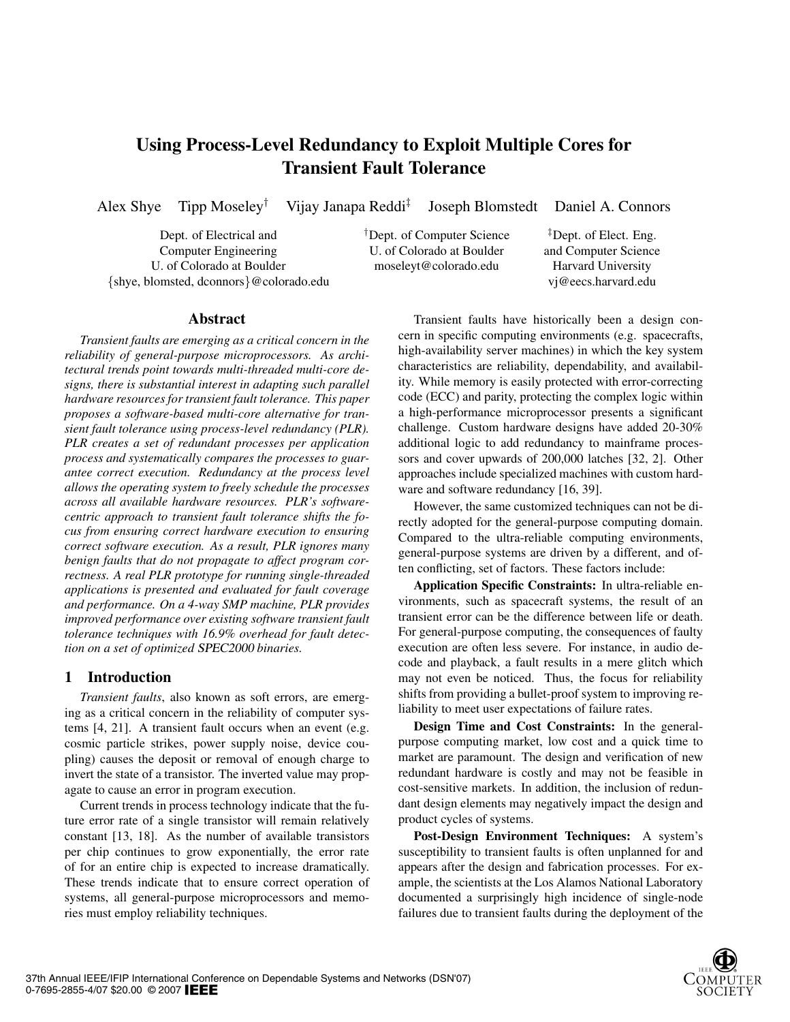# **Using Process-Level Redundancy to Exploit Multiple Cores for Transient Fault Tolerance**

Alex Shye Tipp Moseley<sup>†</sup> Vijay Janapa Reddi<sup>‡</sup> Joseph Blomstedt Daniel A. Connors

Dept. of Electrical and Computer Engineering U. of Colorado at Boulder {shye, blomsted, dconnors}@colorado.edu †Dept. of Computer Science U. of Colorado at Boulder moseleyt@colorado.edu

‡Dept. of Elect. Eng.

and Computer Science Harvard University vj@eecs.harvard.edu

# **Abstract**

*Transient faults are emerging as a critical concern in the reliability of general-purpose microprocessors. As architectural trends point towards multi-threaded multi-core designs, there is substantial interest in adapting such parallel hardware resources for transient fault tolerance. This paper proposes a software-based multi-core alternative for transient fault tolerance using process-level redundancy (PLR). PLR creates a set of redundant processes per application process and systematically compares the processes to guarantee correct execution. Redundancy at the process level allows the operating system to freely schedule the processes across all available hardware resources. PLR's softwarecentric approach to transient fault tolerance shifts the focus from ensuring correct hardware execution to ensuring correct software execution. As a result, PLR ignores many benign faults that do not propagate to affect program correctness. A real PLR prototype for running single-threaded applications is presented and evaluated for fault coverage and performance. On a 4-way SMP machine, PLR provides improved performance over existing software transient fault tolerance techniques with 16.9% overhead for fault detection on a set of optimized* SPEC2000 *binaries.*

# **1 Introduction**

*Transient faults*, also known as soft errors, are emerging as a critical concern in the reliability of computer systems [4, 21]. A transient fault occurs when an event (e.g. cosmic particle strikes, power supply noise, device coupling) causes the deposit or removal of enough charge to invert the state of a transistor. The inverted value may propagate to cause an error in program execution.

Current trends in process technology indicate that the future error rate of a single transistor will remain relatively constant [13, 18]. As the number of available transistors per chip continues to grow exponentially, the error rate of for an entire chip is expected to increase dramatically. These trends indicate that to ensure correct operation of systems, all general-purpose microprocessors and memories must employ reliability techniques.

Transient faults have historically been a design concern in specific computing environments (e.g. spacecrafts, high-availability server machines) in which the key system characteristics are reliability, dependability, and availability. While memory is easily protected with error-correcting code (ECC) and parity, protecting the complex logic within a high-performance microprocessor presents a significant challenge. Custom hardware designs have added 20-30% additional logic to add redundancy to mainframe processors and cover upwards of 200,000 latches [32, 2]. Other approaches include specialized machines with custom hardware and software redundancy [16, 39].

However, the same customized techniques can not be directly adopted for the general-purpose computing domain. Compared to the ultra-reliable computing environments, general-purpose systems are driven by a different, and often conflicting, set of factors. These factors include:

**Application Specific Constraints:** In ultra-reliable environments, such as spacecraft systems, the result of an transient error can be the difference between life or death. For general-purpose computing, the consequences of faulty execution are often less severe. For instance, in audio decode and playback, a fault results in a mere glitch which may not even be noticed. Thus, the focus for reliability shifts from providing a bullet-proof system to improving reliability to meet user expectations of failure rates.

**Design Time and Cost Constraints:** In the generalpurpose computing market, low cost and a quick time to market are paramount. The design and verification of new redundant hardware is costly and may not be feasible in cost-sensitive markets. In addition, the inclusion of redundant design elements may negatively impact the design and product cycles of systems.

**Post-Design Environment Techniques:** A system's susceptibility to transient faults is often unplanned for and appears after the design and fabrication processes. For example, the scientists at the Los Alamos National Laboratory documented a surprisingly high incidence of single-node failures due to transient faults during the deployment of the

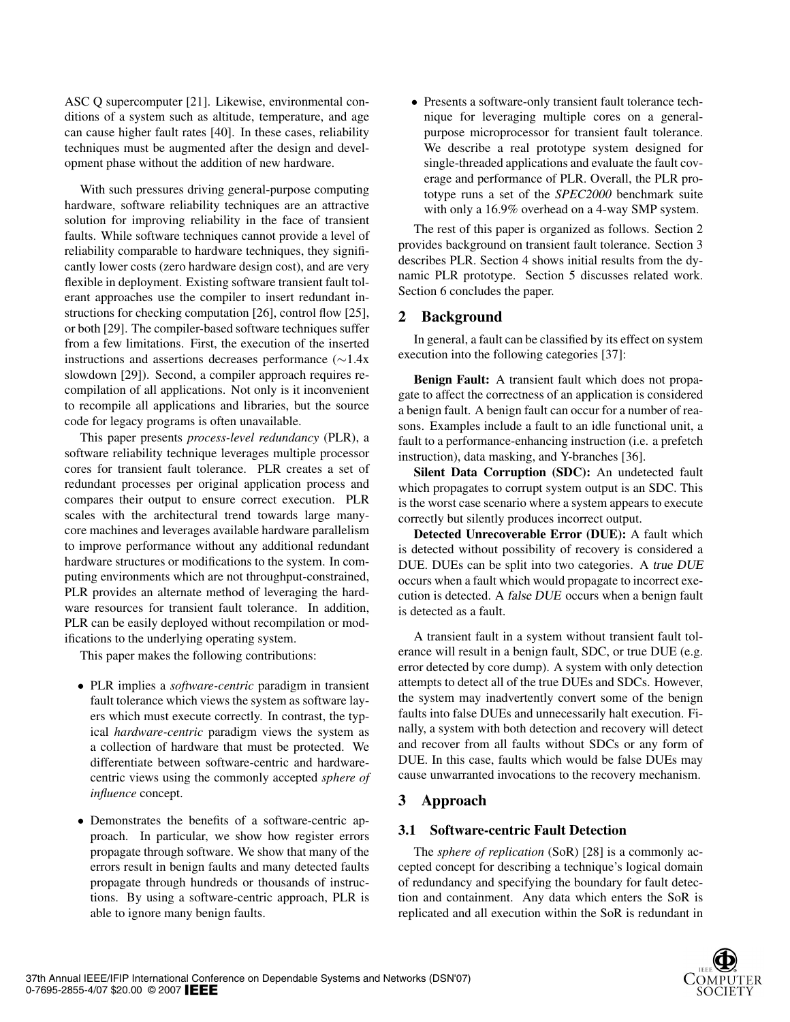ASC Q supercomputer [21]. Likewise, environmental conditions of a system such as altitude, temperature, and age can cause higher fault rates [40]. In these cases, reliability techniques must be augmented after the design and development phase without the addition of new hardware.

With such pressures driving general-purpose computing hardware, software reliability techniques are an attractive solution for improving reliability in the face of transient faults. While software techniques cannot provide a level of reliability comparable to hardware techniques, they significantly lower costs (zero hardware design cost), and are very flexible in deployment. Existing software transient fault tolerant approaches use the compiler to insert redundant instructions for checking computation [26], control flow [25], or both [29]. The compiler-based software techniques suffer from a few limitations. First, the execution of the inserted instructions and assertions decreases performance (∼1.4x slowdown [29]). Second, a compiler approach requires recompilation of all applications. Not only is it inconvenient to recompile all applications and libraries, but the source code for legacy programs is often unavailable.

This paper presents *process-level redundancy* (PLR), a software reliability technique leverages multiple processor cores for transient fault tolerance. PLR creates a set of redundant processes per original application process and compares their output to ensure correct execution. PLR scales with the architectural trend towards large manycore machines and leverages available hardware parallelism to improve performance without any additional redundant hardware structures or modifications to the system. In computing environments which are not throughput-constrained, PLR provides an alternate method of leveraging the hardware resources for transient fault tolerance. In addition, PLR can be easily deployed without recompilation or modifications to the underlying operating system.

This paper makes the following contributions:

- PLR implies a *software-centric* paradigm in transient fault tolerance which views the system as software layers which must execute correctly. In contrast, the typical *hardware-centric* paradigm views the system as a collection of hardware that must be protected. We differentiate between software-centric and hardwarecentric views using the commonly accepted *sphere of influence* concept.
- Demonstrates the benefits of a software-centric approach. In particular, we show how register errors propagate through software. We show that many of the errors result in benign faults and many detected faults propagate through hundreds or thousands of instructions. By using a software-centric approach, PLR is able to ignore many benign faults.

• Presents a software-only transient fault tolerance technique for leveraging multiple cores on a generalpurpose microprocessor for transient fault tolerance. We describe a real prototype system designed for single-threaded applications and evaluate the fault coverage and performance of PLR. Overall, the PLR prototype runs a set of the *SPEC2000* benchmark suite with only a 16.9% overhead on a 4-way SMP system.

The rest of this paper is organized as follows. Section 2 provides background on transient fault tolerance. Section 3 describes PLR. Section 4 shows initial results from the dynamic PLR prototype. Section 5 discusses related work. Section 6 concludes the paper.

# **2 Background**

In general, a fault can be classified by its effect on system execution into the following categories [37]:

**Benign Fault:** A transient fault which does not propagate to affect the correctness of an application is considered a benign fault. A benign fault can occur for a number of reasons. Examples include a fault to an idle functional unit, a fault to a performance-enhancing instruction (i.e. a prefetch instruction), data masking, and Y-branches [36].

**Silent Data Corruption (SDC):** An undetected fault which propagates to corrupt system output is an SDC. This is the worst case scenario where a system appears to execute correctly but silently produces incorrect output.

**Detected Unrecoverable Error (DUE):** A fault which is detected without possibility of recovery is considered a DUE. DUEs can be split into two categories. A true DUE occurs when a fault which would propagate to incorrect execution is detected. A false DUE occurs when a benign fault is detected as a fault.

A transient fault in a system without transient fault tolerance will result in a benign fault, SDC, or true DUE (e.g. error detected by core dump). A system with only detection attempts to detect all of the true DUEs and SDCs. However, the system may inadvertently convert some of the benign faults into false DUEs and unnecessarily halt execution. Finally, a system with both detection and recovery will detect and recover from all faults without SDCs or any form of DUE. In this case, faults which would be false DUEs may cause unwarranted invocations to the recovery mechanism.

# **3 Approach**

# **3.1 Software-centric Fault Detection**

The *sphere of replication* (SoR) [28] is a commonly accepted concept for describing a technique's logical domain of redundancy and specifying the boundary for fault detection and containment. Any data which enters the SoR is replicated and all execution within the SoR is redundant in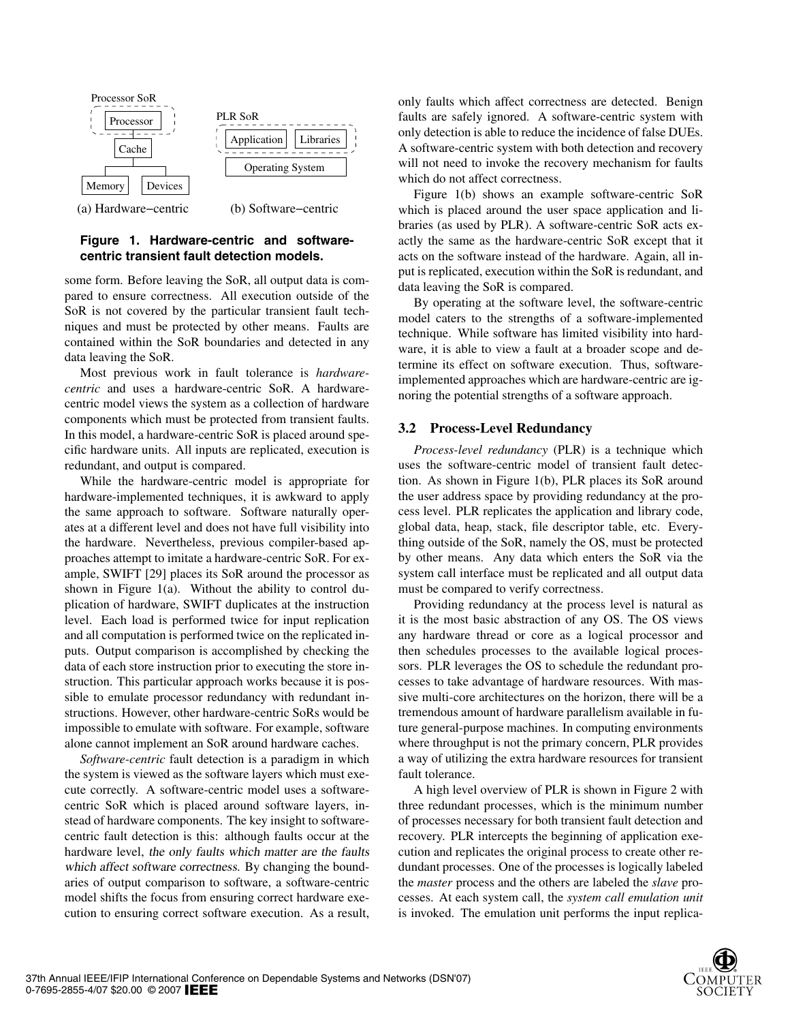

# **Figure 1. Hardware-centric and softwarecentric transient fault detection models.**

some form. Before leaving the SoR, all output data is compared to ensure correctness. All execution outside of the SoR is not covered by the particular transient fault techniques and must be protected by other means. Faults are contained within the SoR boundaries and detected in any data leaving the SoR.

Most previous work in fault tolerance is *hardwarecentric* and uses a hardware-centric SoR. A hardwarecentric model views the system as a collection of hardware components which must be protected from transient faults. In this model, a hardware-centric SoR is placed around specific hardware units. All inputs are replicated, execution is redundant, and output is compared.

While the hardware-centric model is appropriate for hardware-implemented techniques, it is awkward to apply the same approach to software. Software naturally operates at a different level and does not have full visibility into the hardware. Nevertheless, previous compiler-based approaches attempt to imitate a hardware-centric SoR. For example, SWIFT [29] places its SoR around the processor as shown in Figure 1(a). Without the ability to control duplication of hardware, SWIFT duplicates at the instruction level. Each load is performed twice for input replication and all computation is performed twice on the replicated inputs. Output comparison is accomplished by checking the data of each store instruction prior to executing the store instruction. This particular approach works because it is possible to emulate processor redundancy with redundant instructions. However, other hardware-centric SoRs would be impossible to emulate with software. For example, software alone cannot implement an SoR around hardware caches.

*Software-centric* fault detection is a paradigm in which the system is viewed as the software layers which must execute correctly. A software-centric model uses a softwarecentric SoR which is placed around software layers, instead of hardware components. The key insight to softwarecentric fault detection is this: although faults occur at the hardware level, the only faults which matter are the faults which affect software correctness. By changing the boundaries of output comparison to software, a software-centric model shifts the focus from ensuring correct hardware execution to ensuring correct software execution. As a result, only faults which affect correctness are detected. Benign faults are safely ignored. A software-centric system with only detection is able to reduce the incidence of false DUEs. A software-centric system with both detection and recovery will not need to invoke the recovery mechanism for faults which do not affect correctness.

Figure 1(b) shows an example software-centric SoR which is placed around the user space application and libraries (as used by PLR). A software-centric SoR acts exactly the same as the hardware-centric SoR except that it acts on the software instead of the hardware. Again, all input is replicated, execution within the SoR is redundant, and data leaving the SoR is compared.

By operating at the software level, the software-centric model caters to the strengths of a software-implemented technique. While software has limited visibility into hardware, it is able to view a fault at a broader scope and determine its effect on software execution. Thus, softwareimplemented approaches which are hardware-centric are ignoring the potential strengths of a software approach.

#### **3.2 Process-Level Redundancy**

*Process-level redundancy* (PLR) is a technique which uses the software-centric model of transient fault detection. As shown in Figure 1(b), PLR places its SoR around the user address space by providing redundancy at the process level. PLR replicates the application and library code, global data, heap, stack, file descriptor table, etc. Everything outside of the SoR, namely the OS, must be protected by other means. Any data which enters the SoR via the system call interface must be replicated and all output data must be compared to verify correctness.

Providing redundancy at the process level is natural as it is the most basic abstraction of any OS. The OS views any hardware thread or core as a logical processor and then schedules processes to the available logical processors. PLR leverages the OS to schedule the redundant processes to take advantage of hardware resources. With massive multi-core architectures on the horizon, there will be a tremendous amount of hardware parallelism available in future general-purpose machines. In computing environments where throughput is not the primary concern, PLR provides a way of utilizing the extra hardware resources for transient fault tolerance.

A high level overview of PLR is shown in Figure 2 with three redundant processes, which is the minimum number of processes necessary for both transient fault detection and recovery. PLR intercepts the beginning of application execution and replicates the original process to create other redundant processes. One of the processes is logically labeled the *master* process and the others are labeled the *slave* processes. At each system call, the *system call emulation unit* is invoked. The emulation unit performs the input replica-

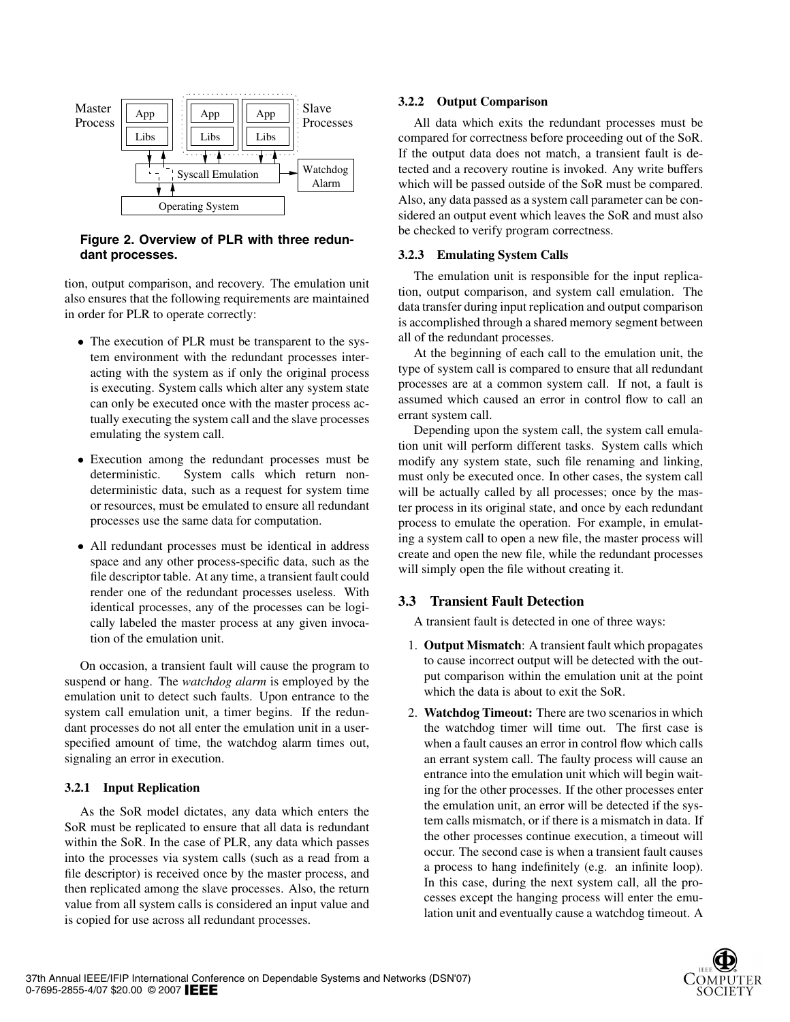

**Figure 2. Overview of PLR with three redundant processes.**

tion, output comparison, and recovery. The emulation unit also ensures that the following requirements are maintained in order for PLR to operate correctly:

- The execution of PLR must be transparent to the system environment with the redundant processes interacting with the system as if only the original process is executing. System calls which alter any system state can only be executed once with the master process actually executing the system call and the slave processes emulating the system call.
- Execution among the redundant processes must be deterministic. System calls which return nondeterministic data, such as a request for system time or resources, must be emulated to ensure all redundant processes use the same data for computation.
- All redundant processes must be identical in address space and any other process-specific data, such as the file descriptor table. At any time, a transient fault could render one of the redundant processes useless. With identical processes, any of the processes can be logically labeled the master process at any given invocation of the emulation unit.

On occasion, a transient fault will cause the program to suspend or hang. The *watchdog alarm* is employed by the emulation unit to detect such faults. Upon entrance to the system call emulation unit, a timer begins. If the redundant processes do not all enter the emulation unit in a userspecified amount of time, the watchdog alarm times out, signaling an error in execution.

# **3.2.1 Input Replication**

As the SoR model dictates, any data which enters the SoR must be replicated to ensure that all data is redundant within the SoR. In the case of PLR, any data which passes into the processes via system calls (such as a read from a file descriptor) is received once by the master process, and then replicated among the slave processes. Also, the return value from all system calls is considered an input value and is copied for use across all redundant processes.

#### **3.2.2 Output Comparison**

All data which exits the redundant processes must be compared for correctness before proceeding out of the SoR. If the output data does not match, a transient fault is detected and a recovery routine is invoked. Any write buffers which will be passed outside of the SoR must be compared. Also, any data passed as a system call parameter can be considered an output event which leaves the SoR and must also be checked to verify program correctness.

#### **3.2.3 Emulating System Calls**

The emulation unit is responsible for the input replication, output comparison, and system call emulation. The data transfer during input replication and output comparison is accomplished through a shared memory segment between all of the redundant processes.

At the beginning of each call to the emulation unit, the type of system call is compared to ensure that all redundant processes are at a common system call. If not, a fault is assumed which caused an error in control flow to call an errant system call.

Depending upon the system call, the system call emulation unit will perform different tasks. System calls which modify any system state, such file renaming and linking, must only be executed once. In other cases, the system call will be actually called by all processes; once by the master process in its original state, and once by each redundant process to emulate the operation. For example, in emulating a system call to open a new file, the master process will create and open the new file, while the redundant processes will simply open the file without creating it.

# **3.3 Transient Fault Detection**

A transient fault is detected in one of three ways:

- 1. **Output Mismatch**: A transient fault which propagates to cause incorrect output will be detected with the output comparison within the emulation unit at the point which the data is about to exit the SoR.
- 2. **Watchdog Timeout:** There are two scenarios in which the watchdog timer will time out. The first case is when a fault causes an error in control flow which calls an errant system call. The faulty process will cause an entrance into the emulation unit which will begin waiting for the other processes. If the other processes enter the emulation unit, an error will be detected if the system calls mismatch, or if there is a mismatch in data. If the other processes continue execution, a timeout will occur. The second case is when a transient fault causes a process to hang indefinitely (e.g. an infinite loop). In this case, during the next system call, all the processes except the hanging process will enter the emulation unit and eventually cause a watchdog timeout. A

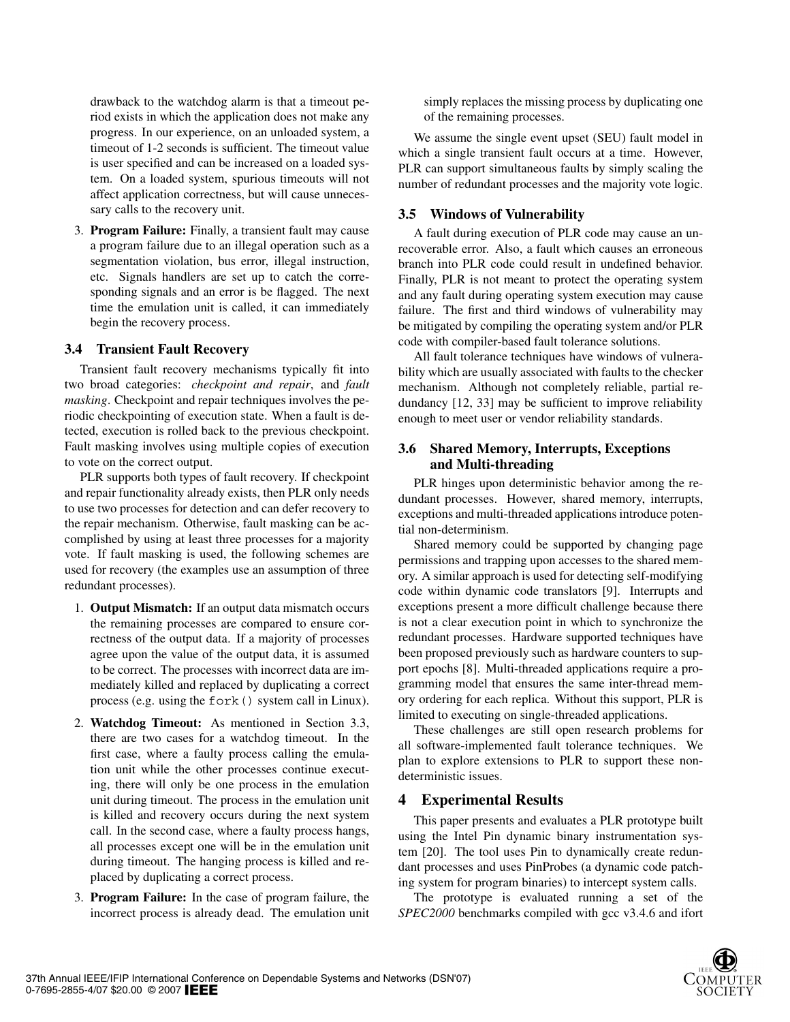drawback to the watchdog alarm is that a timeout period exists in which the application does not make any progress. In our experience, on an unloaded system, a timeout of 1-2 seconds is sufficient. The timeout value is user specified and can be increased on a loaded system. On a loaded system, spurious timeouts will not affect application correctness, but will cause unnecessary calls to the recovery unit.

3. **Program Failure:** Finally, a transient fault may cause a program failure due to an illegal operation such as a segmentation violation, bus error, illegal instruction, etc. Signals handlers are set up to catch the corresponding signals and an error is be flagged. The next time the emulation unit is called, it can immediately begin the recovery process.

#### **3.4 Transient Fault Recovery**

Transient fault recovery mechanisms typically fit into two broad categories: *checkpoint and repair*, and *fault masking*. Checkpoint and repair techniques involves the periodic checkpointing of execution state. When a fault is detected, execution is rolled back to the previous checkpoint. Fault masking involves using multiple copies of execution to vote on the correct output.

PLR supports both types of fault recovery. If checkpoint and repair functionality already exists, then PLR only needs to use two processes for detection and can defer recovery to the repair mechanism. Otherwise, fault masking can be accomplished by using at least three processes for a majority vote. If fault masking is used, the following schemes are used for recovery (the examples use an assumption of three redundant processes).

- 1. **Output Mismatch:** If an output data mismatch occurs the remaining processes are compared to ensure correctness of the output data. If a majority of processes agree upon the value of the output data, it is assumed to be correct. The processes with incorrect data are immediately killed and replaced by duplicating a correct process (e.g. using the fork() system call in Linux).
- 2. **Watchdog Timeout:** As mentioned in Section 3.3, there are two cases for a watchdog timeout. In the first case, where a faulty process calling the emulation unit while the other processes continue executing, there will only be one process in the emulation unit during timeout. The process in the emulation unit is killed and recovery occurs during the next system call. In the second case, where a faulty process hangs, all processes except one will be in the emulation unit during timeout. The hanging process is killed and replaced by duplicating a correct process.
- 3. **Program Failure:** In the case of program failure, the incorrect process is already dead. The emulation unit

simply replaces the missing process by duplicating one of the remaining processes.

We assume the single event upset (SEU) fault model in which a single transient fault occurs at a time. However, PLR can support simultaneous faults by simply scaling the number of redundant processes and the majority vote logic.

# **3.5 Windows of Vulnerability**

A fault during execution of PLR code may cause an unrecoverable error. Also, a fault which causes an erroneous branch into PLR code could result in undefined behavior. Finally, PLR is not meant to protect the operating system and any fault during operating system execution may cause failure. The first and third windows of vulnerability may be mitigated by compiling the operating system and/or PLR code with compiler-based fault tolerance solutions.

All fault tolerance techniques have windows of vulnerability which are usually associated with faults to the checker mechanism. Although not completely reliable, partial redundancy [12, 33] may be sufficient to improve reliability enough to meet user or vendor reliability standards.

#### **3.6 Shared Memory, Interrupts, Exceptions and Multi-threading**

PLR hinges upon deterministic behavior among the redundant processes. However, shared memory, interrupts, exceptions and multi-threaded applications introduce potential non-determinism.

Shared memory could be supported by changing page permissions and trapping upon accesses to the shared memory. A similar approach is used for detecting self-modifying code within dynamic code translators [9]. Interrupts and exceptions present a more difficult challenge because there is not a clear execution point in which to synchronize the redundant processes. Hardware supported techniques have been proposed previously such as hardware counters to support epochs [8]. Multi-threaded applications require a programming model that ensures the same inter-thread memory ordering for each replica. Without this support, PLR is limited to executing on single-threaded applications.

These challenges are still open research problems for all software-implemented fault tolerance techniques. We plan to explore extensions to PLR to support these nondeterministic issues.

# **4 Experimental Results**

This paper presents and evaluates a PLR prototype built using the Intel Pin dynamic binary instrumentation system [20]. The tool uses Pin to dynamically create redundant processes and uses PinProbes (a dynamic code patching system for program binaries) to intercept system calls.

The prototype is evaluated running a set of the *SPEC2000* benchmarks compiled with gcc v3.4.6 and ifort

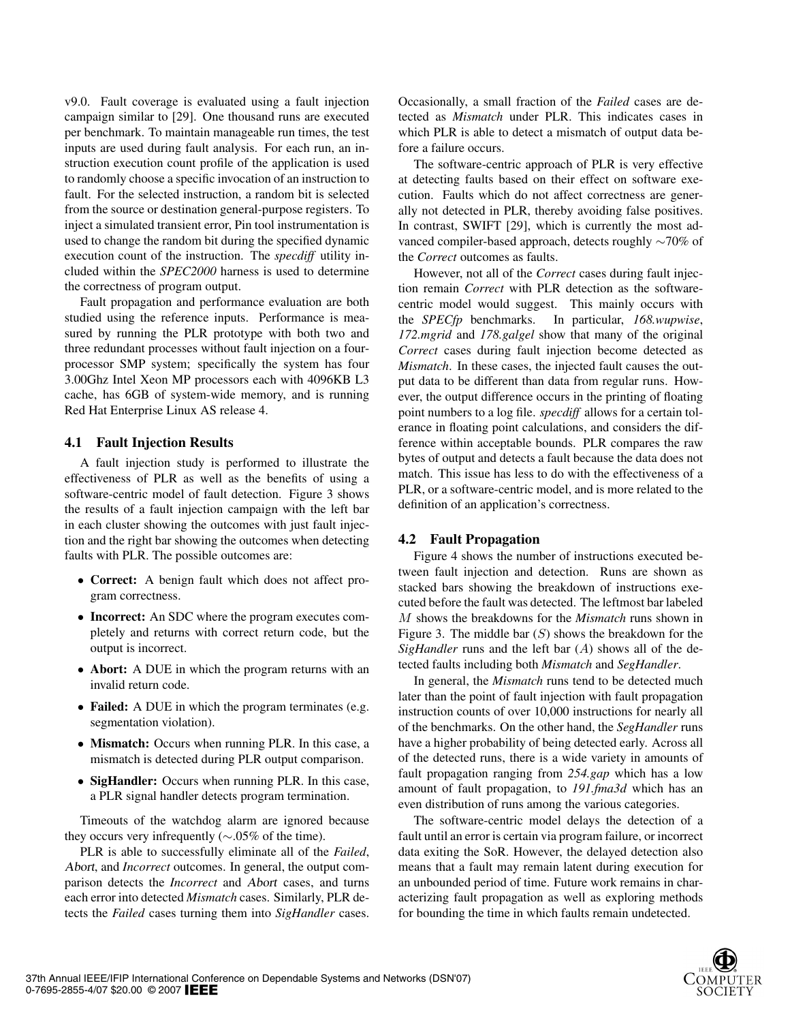v9.0. Fault coverage is evaluated using a fault injection campaign similar to [29]. One thousand runs are executed per benchmark. To maintain manageable run times, the test inputs are used during fault analysis. For each run, an instruction execution count profile of the application is used to randomly choose a specific invocation of an instruction to fault. For the selected instruction, a random bit is selected from the source or destination general-purpose registers. To inject a simulated transient error, Pin tool instrumentation is used to change the random bit during the specified dynamic execution count of the instruction. The *specdiff* utility included within the *SPEC2000* harness is used to determine the correctness of program output.

Fault propagation and performance evaluation are both studied using the reference inputs. Performance is measured by running the PLR prototype with both two and three redundant processes without fault injection on a fourprocessor SMP system; specifically the system has four 3.00Ghz Intel Xeon MP processors each with 4096KB L3 cache, has 6GB of system-wide memory, and is running Red Hat Enterprise Linux AS release 4.

#### **4.1 Fault Injection Results**

A fault injection study is performed to illustrate the effectiveness of PLR as well as the benefits of using a software-centric model of fault detection. Figure 3 shows the results of a fault injection campaign with the left bar in each cluster showing the outcomes with just fault injection and the right bar showing the outcomes when detecting faults with PLR. The possible outcomes are:

- **Correct:** A benign fault which does not affect program correctness.
- **Incorrect:** An SDC where the program executes completely and returns with correct return code, but the output is incorrect.
- **Abort:** A DUE in which the program returns with an invalid return code.
- **Failed:** A DUE in which the program terminates (e.g. segmentation violation).
- **Mismatch:** Occurs when running PLR. In this case, a mismatch is detected during PLR output comparison.
- **SigHandler:** Occurs when running PLR. In this case, a PLR signal handler detects program termination.

Timeouts of the watchdog alarm are ignored because they occurs very infrequently (∼.05% of the time).

PLR is able to successfully eliminate all of the *Failed*, Abort, and *Incorrect* outcomes. In general, the output comparison detects the *Incorrect* and Abort cases, and turns each error into detected *Mismatch* cases. Similarly, PLR detects the *Failed* cases turning them into *SigHandler* cases. Occasionally, a small fraction of the *Failed* cases are detected as *Mismatch* under PLR. This indicates cases in which PLR is able to detect a mismatch of output data before a failure occurs.

The software-centric approach of PLR is very effective at detecting faults based on their effect on software execution. Faults which do not affect correctness are generally not detected in PLR, thereby avoiding false positives. In contrast, SWIFT [29], which is currently the most advanced compiler-based approach, detects roughly ∼70% of the *Correct* outcomes as faults.

However, not all of the *Correct* cases during fault injection remain *Correct* with PLR detection as the softwarecentric model would suggest. This mainly occurs with the *SPECfp* benchmarks. In particular, *168.wupwise*, *172.mgrid* and *178.galgel* show that many of the original *Correct* cases during fault injection become detected as *Mismatch*. In these cases, the injected fault causes the output data to be different than data from regular runs. However, the output difference occurs in the printing of floating point numbers to a log file. *specdiff* allows for a certain tolerance in floating point calculations, and considers the difference within acceptable bounds. PLR compares the raw bytes of output and detects a fault because the data does not match. This issue has less to do with the effectiveness of a PLR, or a software-centric model, and is more related to the definition of an application's correctness.

#### **4.2 Fault Propagation**

Figure 4 shows the number of instructions executed between fault injection and detection. Runs are shown as stacked bars showing the breakdown of instructions executed before the fault was detected. The leftmost bar labeled M shows the breakdowns for the *Mismatch* runs shown in Figure 3. The middle bar  $(S)$  shows the breakdown for the *SigHandler* runs and the left bar (A) shows all of the detected faults including both *Mismatch* and *SegHandler*.

In general, the *Mismatch* runs tend to be detected much later than the point of fault injection with fault propagation instruction counts of over 10,000 instructions for nearly all of the benchmarks. On the other hand, the *SegHandler* runs have a higher probability of being detected early. Across all of the detected runs, there is a wide variety in amounts of fault propagation ranging from *254.gap* which has a low amount of fault propagation, to *191.fma3d* which has an even distribution of runs among the various categories.

The software-centric model delays the detection of a fault until an error is certain via program failure, or incorrect data exiting the SoR. However, the delayed detection also means that a fault may remain latent during execution for an unbounded period of time. Future work remains in characterizing fault propagation as well as exploring methods for bounding the time in which faults remain undetected.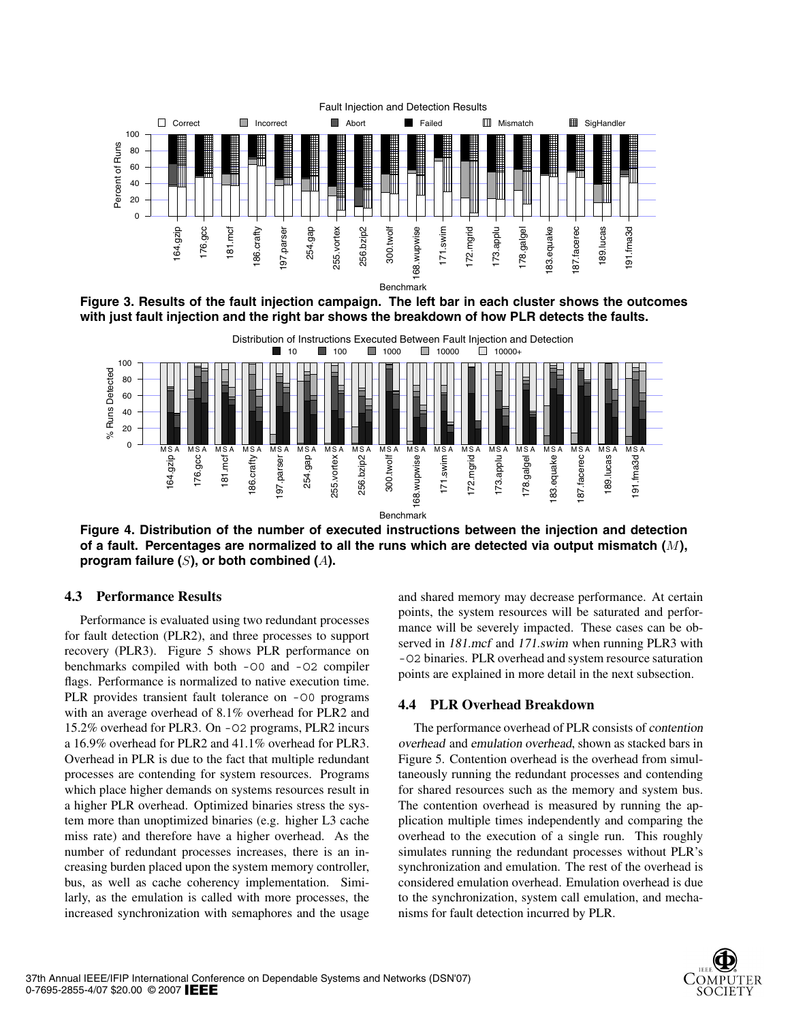

**Figure 3. Results of the fault injection campaign. The left bar in each cluster shows the outcomes with just fault injection and the right bar shows the breakdown of how PLR detects the faults.**



**Figure 4. Distribution of the number of executed instructions between the injection and detection of a fault. Percentages are normalized to all the runs which are detected via output mismatch (**M**), program failure (**S**), or both combined (**A**).**

#### **4.3 Performance Results**

Performance is evaluated using two redundant processes for fault detection (PLR2), and three processes to support recovery (PLR3). Figure 5 shows PLR performance on benchmarks compiled with both -O0 and -O2 compiler flags. Performance is normalized to native execution time. PLR provides transient fault tolerance on -O0 programs with an average overhead of 8.1% overhead for PLR2 and 15.2% overhead for PLR3. On -O2 programs, PLR2 incurs a 16.9% overhead for PLR2 and 41.1% overhead for PLR3. Overhead in PLR is due to the fact that multiple redundant processes are contending for system resources. Programs which place higher demands on systems resources result in a higher PLR overhead. Optimized binaries stress the system more than unoptimized binaries (e.g. higher L3 cache miss rate) and therefore have a higher overhead. As the number of redundant processes increases, there is an increasing burden placed upon the system memory controller, bus, as well as cache coherency implementation. Similarly, as the emulation is called with more processes, the increased synchronization with semaphores and the usage and shared memory may decrease performance. At certain points, the system resources will be saturated and performance will be severely impacted. These cases can be observed in 181.mcf and 171.swim when running PLR3 with -O2 binaries. PLR overhead and system resource saturation points are explained in more detail in the next subsection.

#### **4.4 PLR Overhead Breakdown**

The performance overhead of PLR consists of contention overhead and emulation overhead, shown as stacked bars in Figure 5. Contention overhead is the overhead from simultaneously running the redundant processes and contending for shared resources such as the memory and system bus. The contention overhead is measured by running the application multiple times independently and comparing the overhead to the execution of a single run. This roughly simulates running the redundant processes without PLR's synchronization and emulation. The rest of the overhead is considered emulation overhead. Emulation overhead is due to the synchronization, system call emulation, and mechanisms for fault detection incurred by PLR.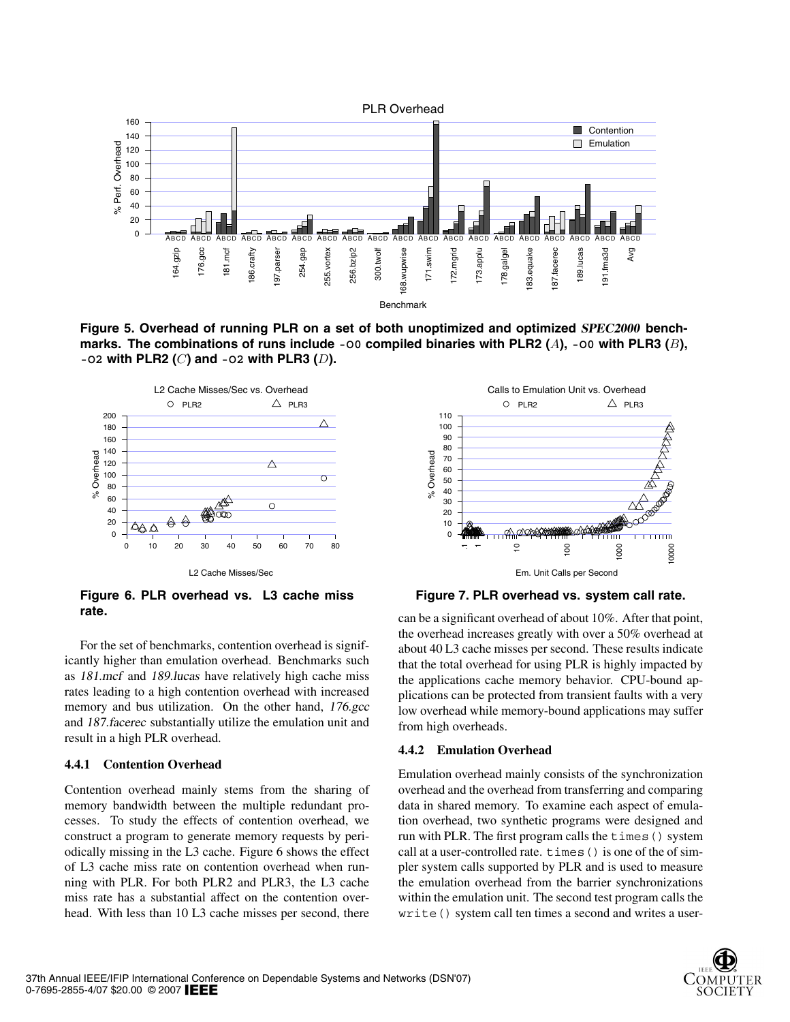

**Figure 5. Overhead of running PLR on a set of both unoptimized and optimized** SPEC2000 **benchmarks. The combinations of runs include -O0 compiled binaries with PLR2 (**A**), -O0 with PLR3 (**B**), -O2 with PLR2 (**C**) and -O2 with PLR3 (**D**).**



**Figure 6. PLR overhead vs. L3 cache miss rate.**

For the set of benchmarks, contention overhead is significantly higher than emulation overhead. Benchmarks such as 181.mcf and 189.lucas have relatively high cache miss rates leading to a high contention overhead with increased memory and bus utilization. On the other hand, 176.gcc and 187.facerec substantially utilize the emulation unit and result in a high PLR overhead.

#### **4.4.1 Contention Overhead**

Contention overhead mainly stems from the sharing of memory bandwidth between the multiple redundant processes. To study the effects of contention overhead, we construct a program to generate memory requests by periodically missing in the L3 cache. Figure 6 shows the effect of L3 cache miss rate on contention overhead when running with PLR. For both PLR2 and PLR3, the L3 cache miss rate has a substantial affect on the contention overhead. With less than 10 L3 cache misses per second, there



**Figure 7. PLR overhead vs. system call rate.**

can be a significant overhead of about 10%. After that point, the overhead increases greatly with over a 50% overhead at about 40 L3 cache misses per second. These results indicate that the total overhead for using PLR is highly impacted by the applications cache memory behavior. CPU-bound applications can be protected from transient faults with a very low overhead while memory-bound applications may suffer from high overheads.

#### **4.4.2 Emulation Overhead**

Emulation overhead mainly consists of the synchronization overhead and the overhead from transferring and comparing data in shared memory. To examine each aspect of emulation overhead, two synthetic programs were designed and run with PLR. The first program calls the times() system call at a user-controlled rate. times() is one of the of simpler system calls supported by PLR and is used to measure the emulation overhead from the barrier synchronizations within the emulation unit. The second test program calls the write() system call ten times a second and writes a user-

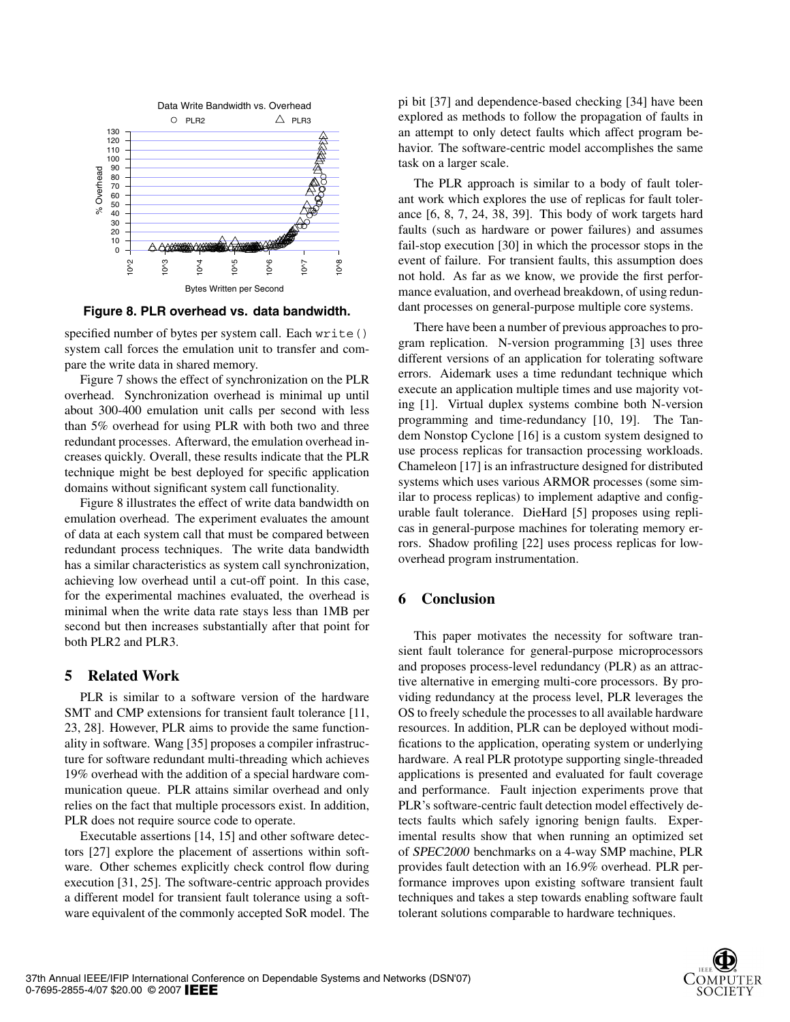

**Figure 8. PLR overhead vs. data bandwidth.**

specified number of bytes per system call. Each write () system call forces the emulation unit to transfer and compare the write data in shared memory.

Figure 7 shows the effect of synchronization on the PLR overhead. Synchronization overhead is minimal up until about 300-400 emulation unit calls per second with less than 5% overhead for using PLR with both two and three redundant processes. Afterward, the emulation overhead increases quickly. Overall, these results indicate that the PLR technique might be best deployed for specific application domains without significant system call functionality.

Figure 8 illustrates the effect of write data bandwidth on emulation overhead. The experiment evaluates the amount of data at each system call that must be compared between redundant process techniques. The write data bandwidth has a similar characteristics as system call synchronization, achieving low overhead until a cut-off point. In this case, for the experimental machines evaluated, the overhead is minimal when the write data rate stays less than 1MB per second but then increases substantially after that point for both PLR2 and PLR3.

# **5 Related Work**

PLR is similar to a software version of the hardware SMT and CMP extensions for transient fault tolerance [11, 23, 28]. However, PLR aims to provide the same functionality in software. Wang [35] proposes a compiler infrastructure for software redundant multi-threading which achieves 19% overhead with the addition of a special hardware communication queue. PLR attains similar overhead and only relies on the fact that multiple processors exist. In addition, PLR does not require source code to operate.

Executable assertions [14, 15] and other software detectors [27] explore the placement of assertions within software. Other schemes explicitly check control flow during execution [31, 25]. The software-centric approach provides a different model for transient fault tolerance using a software equivalent of the commonly accepted SoR model. The pi bit [37] and dependence-based checking [34] have been explored as methods to follow the propagation of faults in an attempt to only detect faults which affect program behavior. The software-centric model accomplishes the same task on a larger scale.

The PLR approach is similar to a body of fault tolerant work which explores the use of replicas for fault tolerance [6, 8, 7, 24, 38, 39]. This body of work targets hard faults (such as hardware or power failures) and assumes fail-stop execution [30] in which the processor stops in the event of failure. For transient faults, this assumption does not hold. As far as we know, we provide the first performance evaluation, and overhead breakdown, of using redundant processes on general-purpose multiple core systems.

There have been a number of previous approaches to program replication. N-version programming [3] uses three different versions of an application for tolerating software errors. Aidemark uses a time redundant technique which execute an application multiple times and use majority voting [1]. Virtual duplex systems combine both N-version programming and time-redundancy [10, 19]. The Tandem Nonstop Cyclone [16] is a custom system designed to use process replicas for transaction processing workloads. Chameleon [17] is an infrastructure designed for distributed systems which uses various ARMOR processes (some similar to process replicas) to implement adaptive and configurable fault tolerance. DieHard [5] proposes using replicas in general-purpose machines for tolerating memory errors. Shadow profiling [22] uses process replicas for lowoverhead program instrumentation.

# **6 Conclusion**

This paper motivates the necessity for software transient fault tolerance for general-purpose microprocessors and proposes process-level redundancy (PLR) as an attractive alternative in emerging multi-core processors. By providing redundancy at the process level, PLR leverages the OS to freely schedule the processes to all available hardware resources. In addition, PLR can be deployed without modifications to the application, operating system or underlying hardware. A real PLR prototype supporting single-threaded applications is presented and evaluated for fault coverage and performance. Fault injection experiments prove that PLR's software-centric fault detection model effectively detects faults which safely ignoring benign faults. Experimental results show that when running an optimized set of SPEC2000 benchmarks on a 4-way SMP machine, PLR provides fault detection with an 16.9% overhead. PLR performance improves upon existing software transient fault techniques and takes a step towards enabling software fault tolerant solutions comparable to hardware techniques.